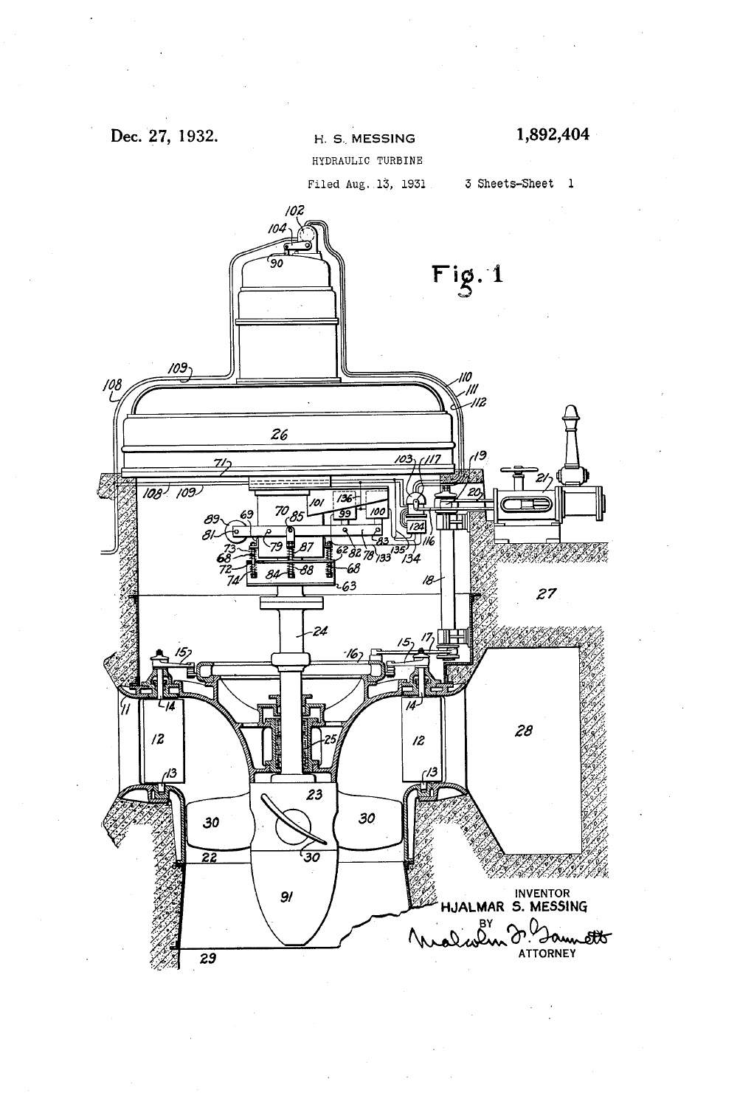## Dec. 27, 1932.

## H. S. MESSING

HYDRAULIC TURBINE

Filed Aug. 13, 1931

3 Sheets-Sheet 1

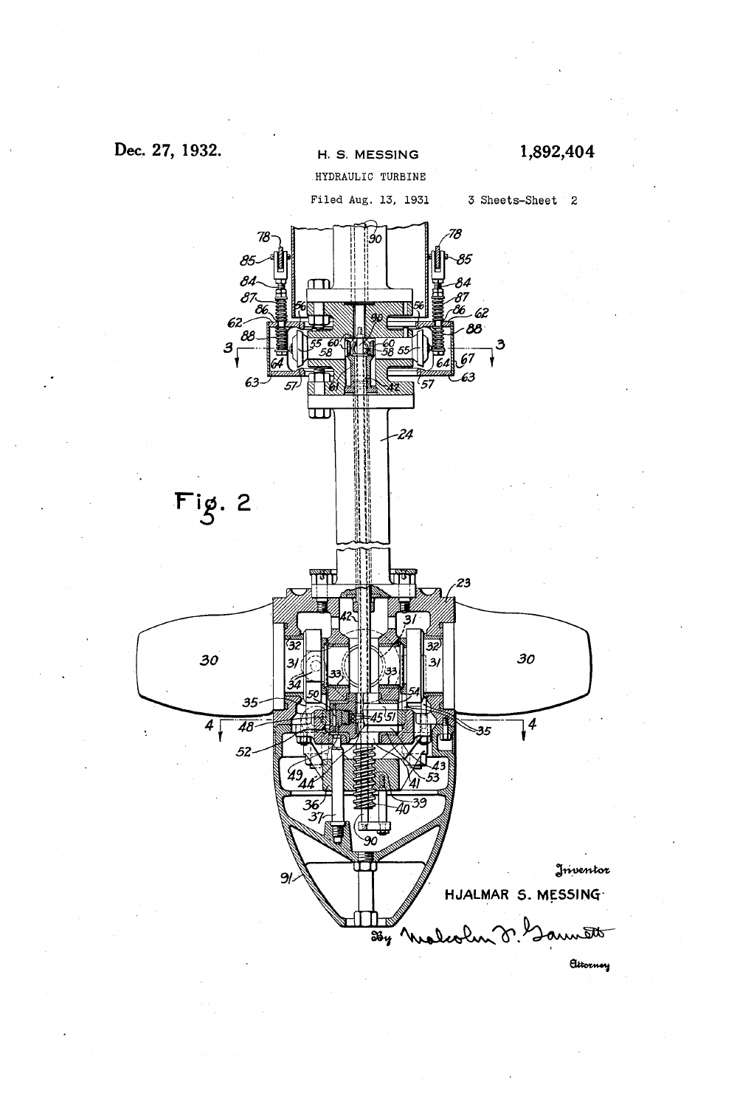## Dec. 27, 1932.



1,892,404



Elitorney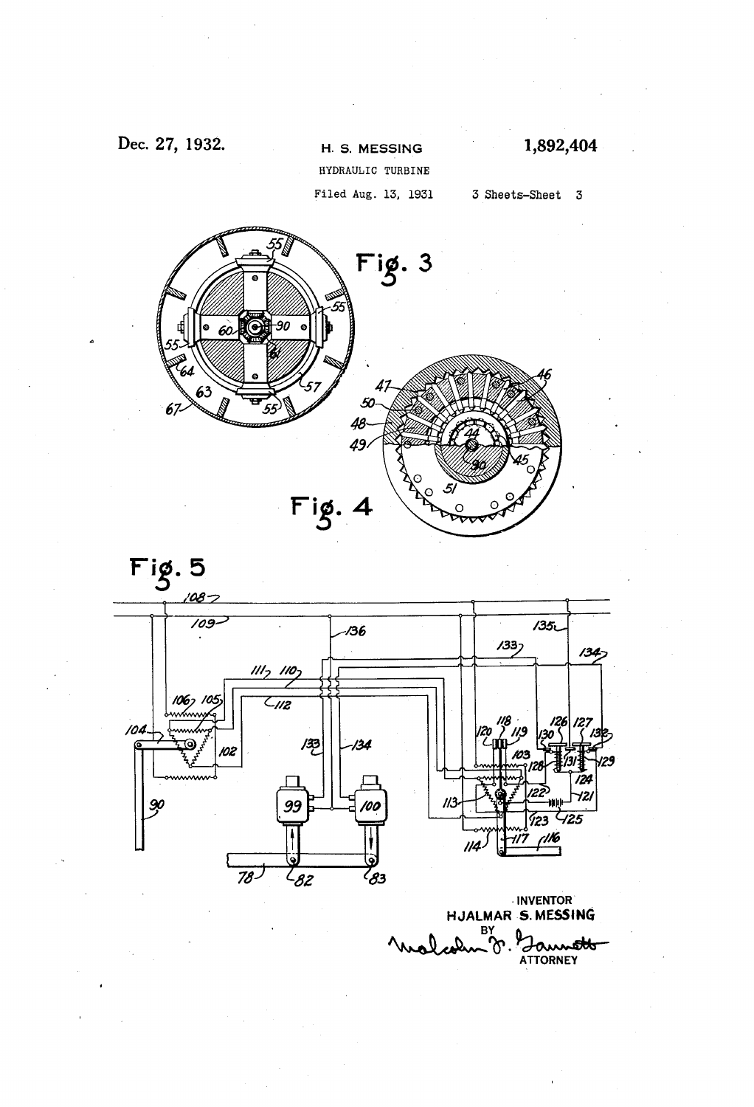## Dec. 27, 1932.

H. S. MESSING HYDRAULIC TURBINE Filed Aug. 13, 1931 1,892,404

3 Sheets-Sheet 3





**INVENTOR** HJALMAR S. MESSING ATTORNEY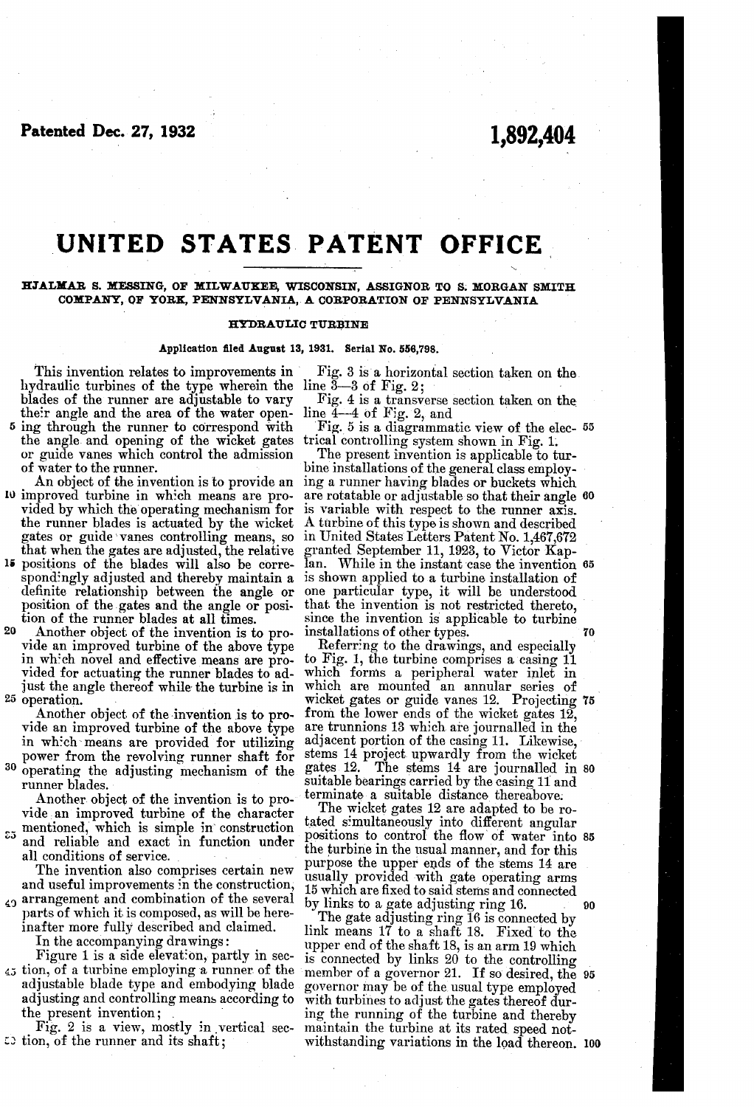Patented Dec. 27, 1932

## 1,892.404

# UNITED STATES PATENT OFFICE

### BJALMAR S. MESSING, OF MILWAUKEE, WISCONSIN, ASSIGNOR TO S. MORGAN SMITH COMPANY, OF YORK, PENNSYLVANIA, A CORPORATION OF PENNSYLVANIA

#### HYDRAULIC TURBINE

#### Application filed August 13, 1931. Serial No. 556,798.

This invention relates to improvements in hydraulic turbines of the type wherein the line 3–3 of Fig. 2;<br>blades of the runner are adjustable to vary hig. 4 is a transv their angle and the area of the water open-<br>5 ing through the runner to correspond with

the angle and opening of the wicket gates or guide vanes which control the admission of water to the runner.

lu improved turbine in which means are pro vided by which the operating mechanism for the runner blades is actuated by the wicket gates or guide vanes controlling means, so that when the gates are adjusted, the relative 15 positions of the blades will also be corre-

spondingly adjusted and thereby maintain a definite relationship between the angle or position of the gates and the angle or position of the runner blades at all times.<br>Another object of the invention is to pro-

20 25 operation.

power from the revolving runner shaft for

<sup>30</sup> operating the adjusting mechanism of the runner blades.<br>Another object of the invention is to pro-

vide an improved turbine of the character  $5<sup>5</sup>$  mentioned, which is simple in construction and reliable and exact in function under all conditions of service.

The invention also comprises certain new and useful improvements in the construction,

arrangement and combination of the several 40 parts of which it is composed, as will be here inafter more fully described and claimed.

Figure 1 is a side elevation, partly in sec- $\frac{45}{100}$  ion, of a turbine employing a runner of the adjustable blade type and embodying blade adjusting and controlling means according to the present invention;

Fig. 2 is a view, mostly in vertical sec  $\overline{z}$  tion, of the runner and its shaft;

Fig. 3 is a horizontal section taken on the line  $3-3$  of Fig. 2;<br>Fig. 4 is a transverse section taken on the line  $4-4$  of Fig. 2, and<br>Fig. 5 is a diagrammatic view of the elec-  $55$ <br>trical controlling system shown in Fi

guide vanes which control the admission<br>water to the runner.<br>An object of the invention is to provide an ing a runner having blades or buckets which<br>an object of the invention is to provide an ing a runner having blades or is variable with respect to the runner axis.<br>A turbine of this type is shown and described in United States Letters Patent No. 1,467,672 granted September 11, 1923, to Victor Kapan. While in the instant case the invention 65 is shown applied to a turbine installation of one particular type, it will be understood are rotatable or adjustable so that their angle 60

Another object of the invention is to pro-installations of other types.<br>vide an improved turbine of the above type Referring to the drawings, and especially<br>in which novel and effective means are pro- to Fig. 1, the turbin since the invention is applicable to turbine<br>installations of other types.<br>Referring to the drawings, and especially<br>to Fig. 1, the turbine comprises a casing 11 which forms a peripheral water inlet in which are mounted an annular series of wicket gates or guide vanes 12. Projecting from the lower ends of the wicket gates 12, are trunnions 13 which are journalled in the adjacent portion of the casing 11. Likewise, stems 14 project upwardly from the wicket gates 12. The stems 14 are journalled in 80 suitable bearings carried by the casing 11 and 75

terminate a suitable distance thereabove: The wicket gates 12 are adapted to be rotated simultaneously into different angular positions to control the flow of water into 85 the turbine in the usual manner, and for this purpose the upper ends of the stems 14 are usually provided with gate operating arms 15 which are fixed to said stems and connected by links to a gate adjusting ring 16.<br>The gate adjusting ring 16 is connected by 90

link means  $17$  to a shaft 18. Fixed to the upper end of the shaft 18, is an arm 19 which upper end of the shaft 18, is an arm 19 which is connected by links 20 to the controlling member of a governor 21. If so desired, the 95 governor may be of the usual type employed<br>with turbines to adjust the gates thereof dur-<br>ing the running of the turbine and thereby<br>maintain the turbine at its rated speed not-<br>withstanding variations in the load thereon.

70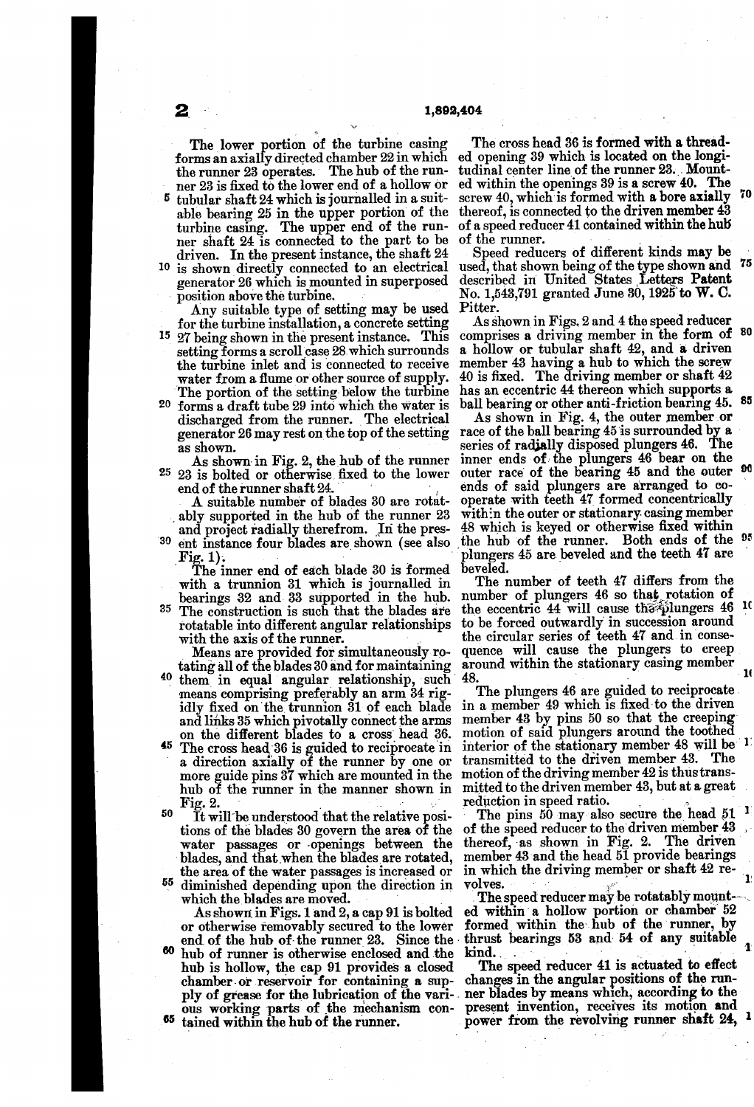The lower portion of the turbine casing forms an axially directed chamber 22 in which the runner 23 operates. The hub of the run-tudinal center line of the runner 23. Mountner 23 is fixed to the lower end of a hollow or<br>tubular shaft 24 which is journalled in a suit-

5 tubular shaft 24 which is journalled in a suit able bearing 25 in the upper portion of the turbine casing. The upper end of the run ner shaft 24 is connected to the part to be driven. In the present instance, the shaft 24

<sup>0</sup> is shown directly connected to an electrical generator 26 which is mounted in superposed<br>position above the turbine.<br>Any suitable type of setting may be used<br>for the turbine installation, a concrete setting

5 27 being shown in the present instance. This setting forms a scroll case 28 which surrounds the turbine inlet and is connected to receive water from a flume or other source of supply. The portion of the setting below the turbine

20 forms a draft tube 29 into which the water is discharged from the runner. The electrical generator 26 may rest on the top of the setting as shown.

25 As shown in Fig. 2, the hub of the runner 23 is bolted or otherwise fixed to the lower

A suitable number of blades 30 are rotatably supported in the hub of the runner 23. and project radially therefrom. In the pres-

<sup>30</sup> ent instance four blades are shown (see also Fig. 1).<br>The inner end of each blade 30 is formed

with a trunnion 31 which is journalled in bearings 32 and 33 supported in the hub.

<sup>35</sup> The construction is such that the blades are

40 means comprising preferably an arm 34 rig-<br>idly fixed on the trunnion 31 of each blade in a member 49 which is fixed to the driven<br>and links 35 which pivotally connect the arms member 43 by pins 50 so that the creeping<br>on

<sup>45</sup> The cross head 36 is guided to reciprocate in a direction axially of the runner by one or more guide pins 37 which are mounted in the motion of the driving member 42 is thus transhub of the runner in the manner shown in mitted to the driven member 43, but at a great hub of the runner in the manner shown in Fig. 2.

50 <sup>55</sup> diminished depending upon the direction in It will be understood that the relative positions of the blades 30 govern the area of the water passages or openings between the blades, and that when the blades are rotated, the area of the water passages is increased or

which the blades are moved.

As shown in Figs. 1 and 2, a cap 91 is bolted or otherwise removably secured to the lower<br>end of the hub of the runner 23. Since the end of the hub of the runner 23. Since the hub of runner is otherwise enclosed and the hub is hollow, the cap 91 provides a closed chamber- or reservoir for containing a supply of grease for the lubrication of the vari- $60$ ous working parts of the mechanism con-<br><sup>65</sup> tained within the hub of the runner.

The cross head 36 is formed with a threaded opening 39 which is located on the longied within the openings 39 is a screw 40. The screw 40, which is formed with a bore axially  $70$ thereof, is connected to the driven member 43 of a speed reducer 41 contained within the hub

of the runner.<br>Speed reducers of different kinds may be Speed reducers of different kinds may be used, that shown being of the type shown and described in United States Letters  $\Gamma$  at  $\Gamma$ No. 1,543,791 granted June 30, 1925 to W. C. Pitter.<br>As shown in Figs. 2 and 4 the speed reducer 75

As shown in Figs. 2 and 4 the speed reducer comprises a driving member in the form of 80 a hollow or tubular shaft 42, and a driven member 43 having a hub to which the screw  $40$  is fixed. The driving member or shall  $42$ has an eccentric 44 thereon which supports a ball bearing or other anti-friction bearing 45. 85

As shown in Fig. 4, the outer member or race of the ball bearing 45 is surrounded by a series of radially disposed plungers 46. The inner ends of the plungers 46 bear on the ends of said plungers are arranged to cooperate with teeth 47 formed concentrically with the outer or stationary casing member 48 which is keyed or otherwise fixed within the hub of the runner. Both ends of the <sup>v</sup> plungers 45 are beveled and the teeth 47 are beveled.

rotatable into different angular relationships to be forced outwardly in succession around<br>with the axis of the runner.<br>Means are provided for simultaneously ro-quence will cause the plungers to creep<br>tating all of the bl The number of teeth 47 differs from the<br>number of plungers 46 so that rotation of number of plungers 46 so that rotation of<br>the eccentric 44 will cause that plungers 46 <sup>10</sup> to be forced outwardly in succession around the circular series of teeth 47 and in conse around within the stationary casing member . .

48.<br>The plungers 46 are guided to reciprocate member 43 by pins 50 so that the creeping<br>motion of said plungers around the toothed<br>interior of the stationary member 48 will be 1<br>transmitted to the driven member 43. The motion of the driving member 42 is thus trans

reduction in speed ratio.<br>The pins 50 may also secure the head 51  $^1$ <br>of the speed reducer to the driven member 43<br>thereof, as shown in Fig. 2. The driven<br>member 43 and the head 51 provide bearings<br>in which the driving m

ed within a hollow portion or chamber 52 thrust bearings 53 and 54 of any suitable kind. 1.

The speed reducer 41 is actuated to effect The speed reducer 41 is actuated to effect<br>changes in the angular positions of the runpresent invention, receives its motion and power from the revolving runner shaft 24, 1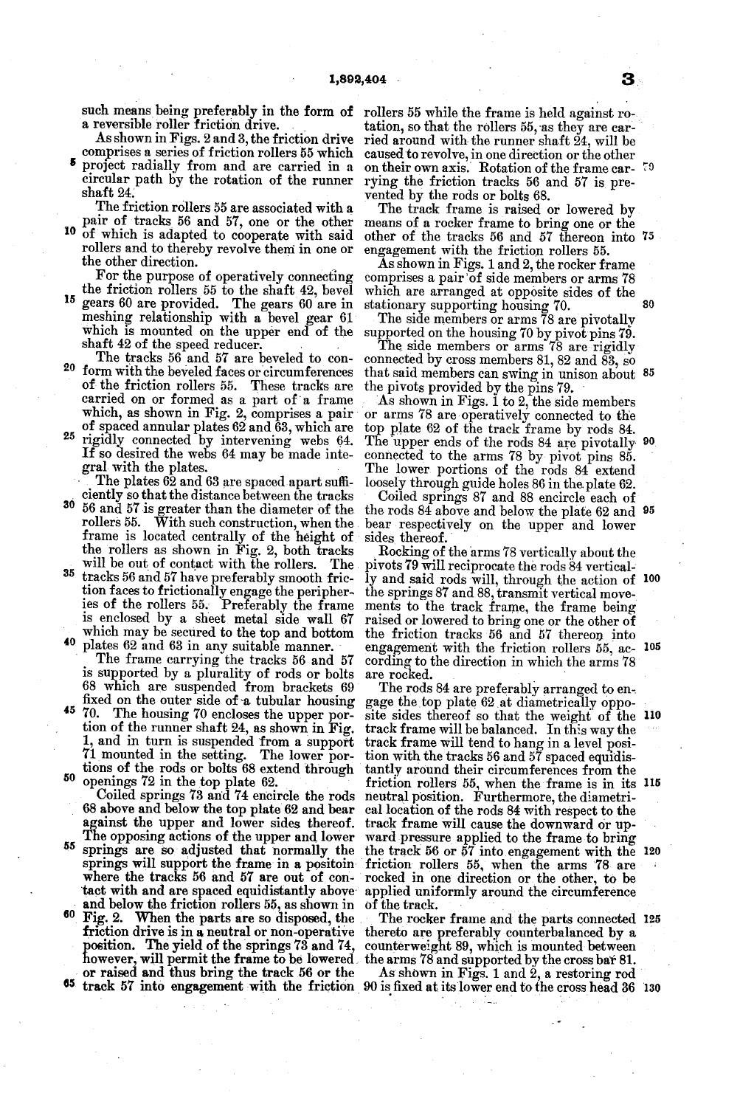such means being preferably in the form of rollers 55 while the frame is held against ro-

As shown in Figs. 2 and 3, the friction drive<br>comprises a series of friction rollers 55 which<br>project radially from and are carried in a

circular path by the rotation of the runner shaft 24.

Ine friction rollers 55 are associated with a<br>pair of tracks 56 and 57, one or the other<br>of which is adapted to cooperate with said

rollers and to thereby revolve them in one or<br>the other direction.<br>For the purpose of operatively connecting

<sup>15</sup> gears 60 are provided. The gears 60 are in the friction rollers 55 to the shaft 42, bevel gears 60 are provided. The gears 60 are in meshing relationship with a bevel gear 61 which is mounted on the upper end of the shaft 42 of the speed reducer.

20 The tracks 56 and 57 are beveled to conform with the beveled faces or circumferences of the friction rollers 55. These tracks are which, as shown in Fig. 2, comprises a pair of spaced annular plates 62 and 63, which are

25 rigidly connected by intervening webs 64. If so desired the webs 64 may be made inte gral with the plates.

The plates 62 and 63 are spaced apart sufficiently so that the distance between the tracks

30 56 and 57 is greater than the diameter of the frame is located centrally of the height of the rollers as shown in Fig. 2, both tracks The .

will be out of contact with the rollers. The tracks 56 and 57 have preferably smooth friction faces to frictionally engage the peripheries of the rollers 55. Preferably the frame is enclosed by a sheet metal side wall 67

<sup>40</sup> plates 62 and 63 in any suitable manner. which may be secured to the top and bottom<br>plates 62 and 63 in any suitable manner.<br>The frame carrying the tracks 56 and 57<br>is supported by a plurality of rods or bolts 68 which are suspended from brackets 69

45 50 The housing 70 encloses the upper portion of the runner shaft 24, as shown in Fig. 1, and in turn is suspended from a support 71 mounted in the setting. The lower portions of the rods or bolts 68 extend through openings 7

Coiled springs 73 and 74 encircle the rods 68 above and below the top plate 62 and bear

- 55 springs are so adjusted that normally the The opposing actions of the upper and lower springs are so adjusted that normally, the springs will support the frame in a positoin where the tracks 56 and 57 are out of contact with and are spaced equidistantly above
- and below the friction rollers 55, as shown in  $60 \text{ Fig. 2.}$  When the parts are so disposed, the Fig. 2. When the parts are so disposed, the The rocker frame and the parts connected<br>friction drive is in a neutral or non-operative thereto are preferably counterbalanced by a<br>position. The yield of the springs 73 and 74, however, will permit the frame to be lowered the arms 78 and supported by the cross bar 81.<br>or raised and thus bring the track 56 or the As shown in Figs. 1 and 2, a restoring rod

tation, so that the rollers 55, as they are carried around with the runner shaft 24, will be caused to revolve, in one direction or the other rying the friction tracks 56 and 57 is prevented by the rods or bolts 68. on their own axis. Rotation of the frame car- 79

The track frame is raised or lowered by means of a rocker frame to bring one or the other of the tracks 56 and 57 thereon into 75 engagement with the friction rollers 55.<br>As shown in Figs. 1 and 2, the rocker frame

comprises a pair of side members or arms 78 which are arranged at opposite sides of the stationary supporting housing 70.<br>The side members or arms 78 are pivotally  $80$ 

The side members or arms 78 are pivotally supported on the housing 70 by pivot pins 79.

The side members or arms 78 are rigidly connected by cross members 81, 82 and 83, so the pivots provided by the pins 79. that said members can swing in unison about 85

As shown in Figs. 1 to 2, the side members or arms 78 are operatively connected to the top plate 62 of the track frame by rods 84. The upper ends of the rods 84 are pivotally  $\frac{100}{20}$ <br>connected to the arms 78 by pivot pins 85. loosely through guide holes 86 in the plate 62.

Coiled springs 87 and 88 encircle each of the respectively on the upper and lower sides thereof.<br>Rocking of the arms 78 vertically about the the rods 84 above and below the plate 62 and 95

pivots 79 will reciprocate the rods 84 vertically and said rods will, through the action of  $100$ the springs 87 and 88, transmit vertical move raised or lowered to bring one or the other of the friction tracks 56 and 57 thereon into<br>engagement with the friction rollers 55, ac- 105 cording to the direction in which the arms 78 are rocked.

The rods 84 are preferably arranged to engage the top plate 62 at diametrically oppogage the top plate 62 at diametrically opposite sides thereof so that the weight of the 110<br>track frame will be balanced. In this way the track trame will be balanced. In this way the<br>track frame will tend to hang in a level posi-<br>tion with the tracks 56 and 57 spaced equidis-<br>tantly around their circumferences from the<br>friction rollers 55, when the frame i track frame will cause the downward or up-<br>ward pressure applied to the frame to bring<br>the track 56 or 57 into engagement with the 120 friction rollers 55, when the arms 78 are rocked in one direction or the other, to be applied uniformly around the circumference of the track. . lso

The rocker frame and the parts connected 125

or raised and thus bring the track 56 or the  $\frac{1}{2}$  As shown in Figs. 1 and 2, a restoring rod track 57 into engagement with the friction 90 is fixed at its lower end to the cross head 36 130

15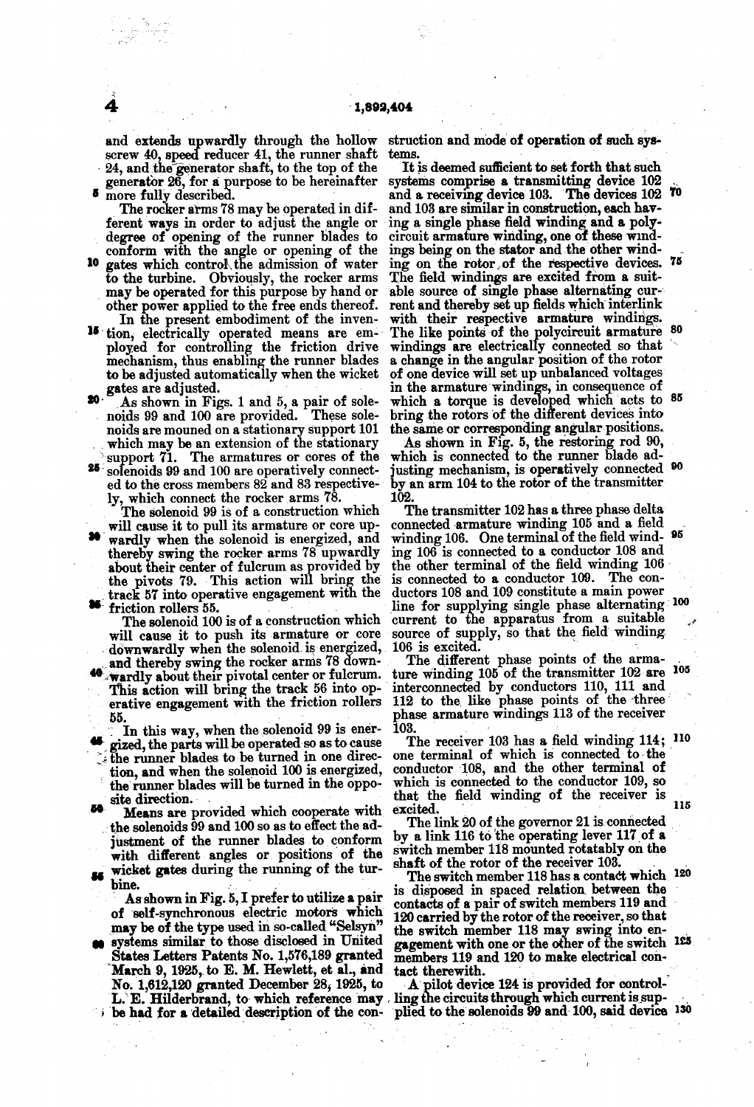and extends upwardly through the hollow screw 40, speed reducer 41, the runner shaft 24, and the generator shaft, to the top of the generator 26, for a purpose to be hereinafter

The rocker arms 78 may be operated in different ways in order to adjust the angle or degree of opening of the runner blades to

- conform with the angle or opening of the 10 gates which control, the admission of water to the turbine. Obviously, the rocker arms may be operated for this purpose by hand or other power applied to the free ends thereof.<br>In the present embodiment of the inven-
- ployed for controlling the friction drive mechanism, thus enabling the runner blades to be adjusted automatically when the wicket
- $20$ **20** As shown in Figs. 1 and 5, a pair of solenoids 99 and 100 are provided. These solenoids are mouned on a stationary support 101 which may be an extension of the stationary support 71. The armatures or cores of the 25 s
- 

ly, which connect the rocker arms 78.<br>The solenoid 99 is of a construction which will cause it to pull its armature or core up-

26.

The solenoid 100 is of a construction which<br>will cause it to push its armature or core

- 
- 55.<br>In this way, when the solenoid 99 is energized, the parts will be operated so as to cause<br>the runner blades to be turned in one direction, and when the solenoid 100 is energized, the runner blades will be turned in the opposite direction.<br>50 ideans are provided which cooperate with
- the solenoids 99 and 100 so as to effect the ad-<br>justment of the runner blades to conform by a link 116 to the operating lever 117 of a with different angles or positions of the wicket gates during the running of the tur-<br>hine. 86
- 

bine. . . . As shown in Fig. 5, I prefer to utilize a pair of self-synchronous electric motors which may be of the type used in so-called "Selsyn'

systems similar to those disclosed in United<br>States Letters Patents No. 1,576,189 granted March 9, 1925, to E. M. Hewlett, et al., and No. 1,612,120 granted December 28, 1925, to L. E. Hilderbrand, to which reference may ling the circuits through which current is sup-<br>be had for a detailed description of the con-plied to the solenoids 99 and 100, said device

struction and mode of operation of such systems.

In the present embodiment of the inven- with their respective armature windings.<br><sup>15</sup> tion, electrically operated means are em- The like points of the polycircuit armature It is deemed sufficient to set forth that such<br>systems comprise a transmitting device 102 and a receiving device 103. The devices 102 70 and 103 are similar in construction, each having a single phase field winding and a poly-<br>circuit armature winding, one of these wind-<br>ing on the stator and the other wind-<br>ing on the rotor of the respective devices. 75<br>The field windings are excited from a suitable source of single phase alternating current and thereby set up fields which interlink The like points of the polycircuit armature 80 windings are electrically connected so that a change in the angular position of the rotor of one device will set up unbalanced voltages<br>in the armature windings, in consequence of<br>which a torque is developed which acts to 85 bring the rotors of the different devices into the same or corresponding angular positions.<br>As shown in Fig. 5, the restoring rod 90, which is connected to the runner blade ad-

justing mechanism, is operatively connected <sup>90</sup> by an arm 104 to the rotor of the transmitter

will cause it to pull its armature or core up-<br>connected armature winding 105 and a field<br>wardly when the solenoid is energized, and winding 106. One terminal of the field wind-<br>thereby swing the rocker arms 78 upwardly in 102.<br>The transmitter 102 has a three phase delta The transmitter 102 has a three phase delta<br>connected armature winding 105 and a field<br>winding 106. One terminal of the field wind-<br> $95$ the other terminal of the field winding 106 line for supplying single phase alternating current to the apparatus from a suitable source of supply, so that the field winding. 106 is excited. 100

downwardly when the solenoid is energized, 106 is excited.<br>and thereby swing the rocker arms 78 down-<br>The different phase points of the arma-<br>**40** wardly about their pivotal center or fulcrum. ture winding 105 of the trans The different phase points of the arma 112 to the like phase points of the three phase armature windings 113 of the receiver 105

103.<br>The receiver 103 has a field winding 114; <sup>110</sup> one terminal of which is connected to the conductor 108, and the other terminal of which is connected to the conductor 109, so that the field winding of the receiver is excited. 115

The link 20 of the governor 21 is connected switch member 118 mounted rotatably on the shaft of the rotor of the receiver 103.

The switch member 118 has a contact which  $120$ is disposed in spaced relation between the contacts of a pair of switch members 119 and 120 carried by the rotor of the receiver, so that<br>the switch member 118 may swing into engagement with one or the other of the switch  $120$ . members 119 and 120 to make electrical contact therewith.

tact therewith.<br>
A pilot device 124 is provided for control-<br>
ling the circuits through which current is sup-<br>
plied to the solenoids 99 and 100, said device 130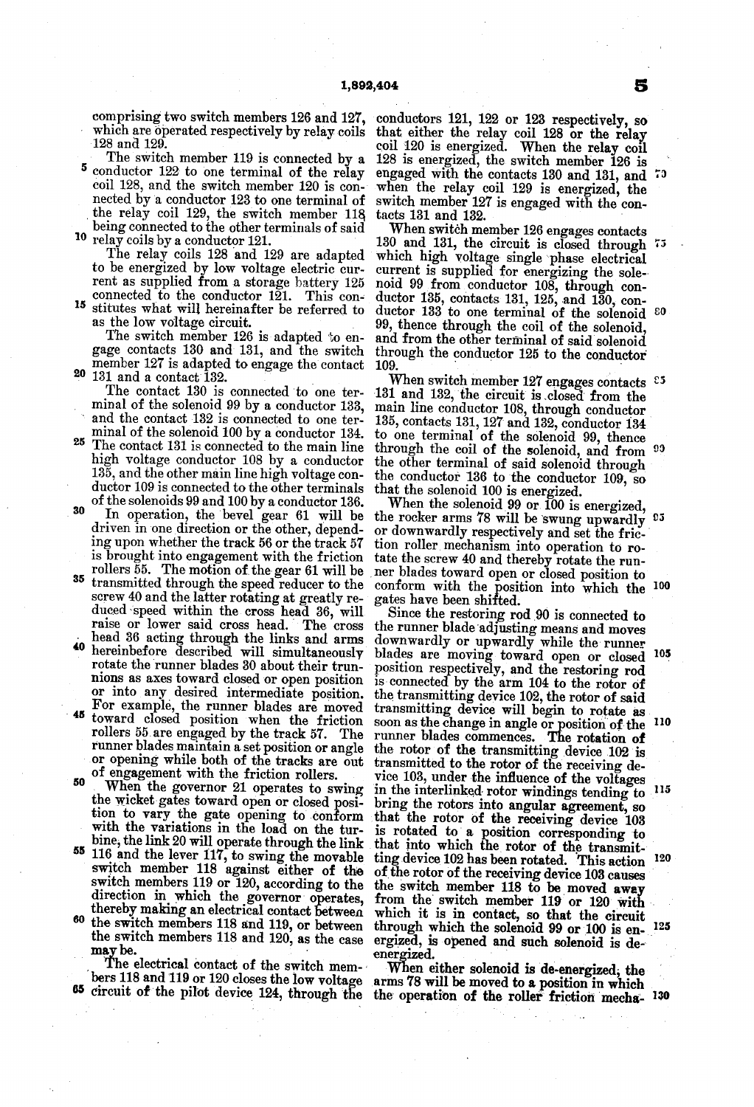comprising two switch members 126 and 127, which are operated respectively by relay coils 128 and 129.

The switch member 119 is connected by a  $5$  conductor 122 to one terminal of the relay coil 128, and the switch member 120 is connected by a conductor 123 to one terminal of the relay coil 129, the switch member 118 being connected to the other terminals of said <sup>10</sup> relay coils by a conductor 121.

The relay coils 128 and 129 are adapted to be energized by low voltage electric current as supplied from a storage battery 125 connected to the conductor 121. This con-

15 stitutes what will hereinafter be referred to as the low voltage circuit.

 $20$  131 and a contact 132. member 127 is adapted to engage the contact

The contact 130 is connected to one ter- 131 and 132, the circuit is closed from the minal of the solenoid 99 by a conductor 133, main line conductor 108 through conductor and the contact  $132$  is connected to one ter-<br>minal of the solenoid  $100$  by a conductor  $134$ .

25 30 The contact 131 is connected to the main line high voltage conductor  $108$  by a conductor  $13\overline{5}$ , and the other main line high voltage conductor 109 is connected to the other terminals

35 of the solenoids 99 and 100 by a conductor 136. driven in one direction or the other, depending upon whether the track 56 or the track 57 is brought into engagement with the friction rollers 55. The motion of the gear 61 will be transmitted through the speed reducer to

- head 36 acting through the links and arms screw 40 and the latter rotating at greatly re-<br>duced speed within the cross head 36, will raise or lower said cross head. The cross
- 45 hereinbefore described will simultaneously rotate the runner blades 30 about their trun nions as axes toward closed or open position.<br>or into any desired intermediate position. or into any desired intermediate position For example, the runner blades are moved toward closed position when the friction rollers 55 are engaged by the track 57. The
- runner blades maintain a set position or angle or opening while both of the tracks are out of engagement with the friction rollers.
- 50 When the governor 21 operates to swing the wicket gates toward open or closed position to vary the gate opening to conform
- SS bine, the link 20 will operate through the link 116 and the lever 117, to swing the movable switch member 118 against either of the switch members 119 or 120, according to the direction in which the governor operates, thereby making an electrical contact between
- the switch members 118 and 119, or between the switch members 118 and 120, as the case

may be.<br>The electrical contact of the switch mem-<br>bers 118 and 119 or 120 closes the low voltage arms 78 will be moved to a position in which

conductors 121, 122 or 123 respectively, so that either the relay coil 128 or the relay coil 120 is energized. When the relay coil 128 is energized, the switch member 126 is engaged with the contacts 130 and 131, and <sup>73</sup> when the relay coil 129 is energized, the switch member 127 is engaged with the con-

as the low voltage circuit.  $99$ , thence through the coil of the solenoid,<br>The switch member 126 is adapted to en-<br>gage contacts 130 and 131, and the switch through the conductor 125 to the conductor tacts 131 and 132.<br>When switch member 126 engages contacts 130 and 131, the circuit is closed through  $\tau$ <sup>5</sup> which high voltage single phase electrical current is supplied for energizing the solenoid 99 from conductor 108, through conductor 135, contacts 131, 125, and 130, conductor 135, contacts 131, 125, and 130, con-<br>ductor 133 to one terminal of the solenoid <sup>80</sup> and from the other terminal of said solenoid through the conductor  $125$  to the conductor  $109$ .

> When switch member 127 engages contacts  $5\frac{1}{2}$ main line conductor 108, through conductor 135, contacts 131, 127 and 132, conductor 134 to one terminal of the solenoid 99, thence<br>through the coil of the solenoid, and from <sup>99</sup><br>the other terminal of said solenoid through the conductor 136 to the conductor 109, so<br>that the solenoid 100 is energized.<br>When the solenoid 99 or 100 is energized,<br>the rocker arms 78 will be swung upwardly  $55$

or downwardly respectively and set the fric tion roller mechanism into operation to ro tate the screw 40 and thereby rotate the runner blades toward open or closed position to conform with the position into which the gates have been shifted. 00

with the variations in the load on the tur-<br>bine, the link 20 will operate through the link that into which the rotor of the transmit-Since the restoring rod 90 is connected to the runner blade adjusting means and moves downwardly or upwardly while the runner blades are moving toward open or closed position respectively, and the restoring rod<br>is connected by the arm 104 to the rotor of the transmitting device 102, the rotor of said<br>transmitting device will begin to rotate as soon as the change in angle or position of the runner blades commences. The rotation of the rotor of the transmitting device 102 is transmitted to the rotor of the receiving device 103, under the influence of the voltages in the interlinked rotor windings tending to bring the rotors into angular agreement, so that the rotor of the receiving device 103 is rotated to a position corresponding to that the rotor of the receiving device 103 causes of the rotor of the receiving device 103 causes the switch member 118 to be moved away from the switch member 119 or 120 with 105 O 115 120 which it is in contact, so that the circuit through which the solenoid 99 or 100 is enenergized. ergized, is opened and such solenoid is de-<br>energized. 125

bers 118 and 119 or 120 closes the low voltage arms 78 will be moved to a position in which<br>65 circuit of the pilot device 124, through the the operation of the roller friction mecha-130 When either solenoid is de-energized; the

S